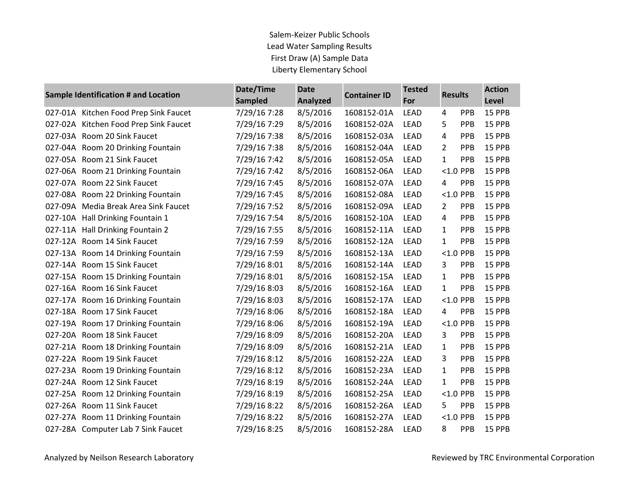## Salem-Keizer Public Schools Lead Water Sampling Results First Draw (A) Sample Data Liberty Elementary School

| Sample Identification # and Location |                                       | Date/Time<br><b>Sampled</b> | <b>Date</b><br><b>Container ID</b><br><b>Analyzed</b> |             | <b>Tested</b><br>For | <b>Results</b> |             | <b>Action</b><br>Level |
|--------------------------------------|---------------------------------------|-----------------------------|-------------------------------------------------------|-------------|----------------------|----------------|-------------|------------------------|
|                                      | 027-01A Kitchen Food Prep Sink Faucet | 7/29/16 7:28                | 8/5/2016                                              | 1608152-01A | <b>LEAD</b>          | 4              | PPB         | 15 PPB                 |
|                                      | 027-02A Kitchen Food Prep Sink Faucet | 7/29/16 7:29                | 8/5/2016                                              | 1608152-02A | <b>LEAD</b>          | 5              | <b>PPB</b>  | 15 PPB                 |
|                                      | 027-03A Room 20 Sink Faucet           | 7/29/16 7:38                | 8/5/2016                                              | 1608152-03A | <b>LEAD</b>          | 4              | PPB         | 15 PPB                 |
|                                      | 027-04A Room 20 Drinking Fountain     | 7/29/16 7:38                | 8/5/2016                                              | 1608152-04A | <b>LEAD</b>          | $\overline{2}$ | <b>PPB</b>  | 15 PPB                 |
|                                      | 027-05A Room 21 Sink Faucet           | 7/29/16 7:42                | 8/5/2016                                              | 1608152-05A | <b>LEAD</b>          | 1              | PPB         | 15 PPB                 |
|                                      | 027-06A Room 21 Drinking Fountain     | 7/29/16 7:42                | 8/5/2016                                              | 1608152-06A | <b>LEAD</b>          |                | <1.0 PPB    | 15 PPB                 |
|                                      | 027-07A Room 22 Sink Faucet           | 7/29/16 7:45                | 8/5/2016                                              | 1608152-07A | <b>LEAD</b>          | 4              | PPB         | 15 PPB                 |
|                                      | 027-08A Room 22 Drinking Fountain     | 7/29/16 7:45                | 8/5/2016                                              | 1608152-08A | <b>LEAD</b>          |                | $<$ 1.0 PPB | 15 PPB                 |
|                                      | 027-09A Media Break Area Sink Faucet  | 7/29/16 7:52                | 8/5/2016                                              | 1608152-09A | <b>LEAD</b>          | 2              | PPB         | 15 PPB                 |
|                                      | 027-10A Hall Drinking Fountain 1      | 7/29/16 7:54                | 8/5/2016                                              | 1608152-10A | <b>LEAD</b>          | 4              | PPB         | 15 PPB                 |
|                                      | 027-11A Hall Drinking Fountain 2      | 7/29/16 7:55                | 8/5/2016                                              | 1608152-11A | <b>LEAD</b>          | 1              | <b>PPB</b>  | 15 PPB                 |
|                                      | 027-12A Room 14 Sink Faucet           | 7/29/16 7:59                | 8/5/2016                                              | 1608152-12A | <b>LEAD</b>          | $\mathbf{1}$   | PPB         | 15 PPB                 |
|                                      | 027-13A Room 14 Drinking Fountain     | 7/29/16 7:59                | 8/5/2016                                              | 1608152-13A | <b>LEAD</b>          |                | $<$ 1.0 PPB | 15 PPB                 |
|                                      | 027-14A Room 15 Sink Faucet           | 7/29/16 8:01                | 8/5/2016                                              | 1608152-14A | <b>LEAD</b>          | 3              | PPB         | 15 PPB                 |
|                                      | 027-15A Room 15 Drinking Fountain     | 7/29/16 8:01                | 8/5/2016                                              | 1608152-15A | <b>LEAD</b>          | 1              | <b>PPB</b>  | 15 PPB                 |
|                                      | 027-16A Room 16 Sink Faucet           | 7/29/16 8:03                | 8/5/2016                                              | 1608152-16A | <b>LEAD</b>          | 1              | PPB         | 15 PPB                 |
|                                      | 027-17A Room 16 Drinking Fountain     | 7/29/16 8:03                | 8/5/2016                                              | 1608152-17A | <b>LEAD</b>          |                | $<$ 1.0 PPB | 15 PPB                 |
|                                      | 027-18A Room 17 Sink Faucet           | 7/29/16 8:06                | 8/5/2016                                              | 1608152-18A | <b>LEAD</b>          | 4              | PPB         | 15 PPB                 |
|                                      | 027-19A Room 17 Drinking Fountain     | 7/29/16 8:06                | 8/5/2016                                              | 1608152-19A | <b>LEAD</b>          |                | $<$ 1.0 PPB | 15 PPB                 |
|                                      | 027-20A Room 18 Sink Faucet           | 7/29/16 8:09                | 8/5/2016                                              | 1608152-20A | <b>LEAD</b>          | 3              | PPB         | 15 PPB                 |
|                                      | 027-21A Room 18 Drinking Fountain     | 7/29/16 8:09                | 8/5/2016                                              | 1608152-21A | <b>LEAD</b>          | 1              | <b>PPB</b>  | 15 PPB                 |
|                                      | 027-22A Room 19 Sink Faucet           | 7/29/16 8:12                | 8/5/2016                                              | 1608152-22A | <b>LEAD</b>          | 3              | PPB         | 15 PPB                 |
|                                      | 027-23A Room 19 Drinking Fountain     | 7/29/16 8:12                | 8/5/2016                                              | 1608152-23A | <b>LEAD</b>          | 1              | <b>PPB</b>  | 15 PPB                 |
|                                      | 027-24A Room 12 Sink Faucet           | 7/29/16 8:19                | 8/5/2016                                              | 1608152-24A | <b>LEAD</b>          | 1              | PPB         | 15 PPB                 |
|                                      | 027-25A Room 12 Drinking Fountain     | 7/29/16 8:19                | 8/5/2016                                              | 1608152-25A | <b>LEAD</b>          |                | $<$ 1.0 PPB | 15 PPB                 |
|                                      | 027-26A Room 11 Sink Faucet           | 7/29/16 8:22                | 8/5/2016                                              | 1608152-26A | <b>LEAD</b>          | 5              | PPB         | 15 PPB                 |
|                                      | 027-27A Room 11 Drinking Fountain     | 7/29/16 8:22                | 8/5/2016                                              | 1608152-27A | <b>LEAD</b>          |                | $<$ 1.0 PPB | 15 PPB                 |
|                                      | 027-28A Computer Lab 7 Sink Faucet    | 7/29/16 8:25                | 8/5/2016                                              | 1608152-28A | <b>LEAD</b>          | 8              | <b>PPB</b>  | 15 PPB                 |